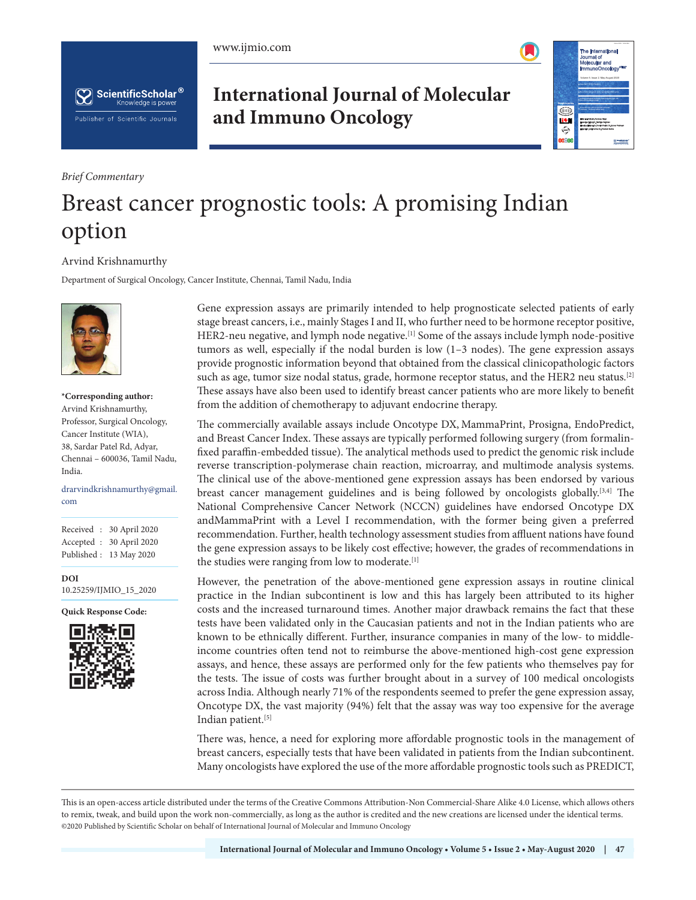





*Brief Commentary*

## **International Journal of Molecular and Immuno Oncology**



## Breast cancer prognostic tools: A promising Indian option

## Arvind Krishnamurthy

Department of Surgical Oncology, Cancer Institute, Chennai, Tamil Nadu, India



**\*Corresponding author:** Arvind Krishnamurthy, Professor, Surgical Oncology, Cancer Institute (WIA), 38, Sardar Patel Rd, Adyar, Chennai – 600036, Tamil Nadu, India.

drarvindkrishnamurthy@gmail. com

Received : 30 April 2020 Accepted : 30 April 2020 Published : 13 May 2020

**DOI** 10.25259/IJMIO\_15\_2020

**Quick Response Code:**



Gene expression assays are primarily intended to help prognosticate selected patients of early stage breast cancers, i.e., mainly Stages I and II, who further need to be hormone receptor positive, HER2-neu negative, and lymph node negative.[1] Some of the assays include lymph node-positive tumors as well, especially if the nodal burden is low (1–3 nodes). The gene expression assays provide prognostic information beyond that obtained from the classical clinicopathologic factors such as age, tumor size nodal status, grade, hormone receptor status, and the HER2 neu status.<sup>[2]</sup> These assays have also been used to identify breast cancer patients who are more likely to benefit from the addition of chemotherapy to adjuvant endocrine therapy.

The commercially available assays include Oncotype DX, MammaPrint, Prosigna, EndoPredict, and Breast Cancer Index. These assays are typically performed following surgery (from formalinfixed paraffin-embedded tissue). The analytical methods used to predict the genomic risk include reverse transcription-polymerase chain reaction, microarray, and multimode analysis systems. The clinical use of the above-mentioned gene expression assays has been endorsed by various breast cancer management guidelines and is being followed by oncologists globally.<sup>[3,4]</sup> The National Comprehensive Cancer Network (NCCN) guidelines have endorsed Oncotype DX andMammaPrint with a Level I recommendation, with the former being given a preferred recommendation. Further, health technology assessment studies from affluent nations have found the gene expression assays to be likely cost effective; however, the grades of recommendations in the studies were ranging from low to moderate.<sup>[1]</sup>

However, the penetration of the above-mentioned gene expression assays in routine clinical practice in the Indian subcontinent is low and this has largely been attributed to its higher costs and the increased turnaround times. Another major drawback remains the fact that these tests have been validated only in the Caucasian patients and not in the Indian patients who are known to be ethnically different. Further, insurance companies in many of the low- to middleincome countries often tend not to reimburse the above-mentioned high-cost gene expression assays, and hence, these assays are performed only for the few patients who themselves pay for the tests. The issue of costs was further brought about in a survey of 100 medical oncologists across India. Although nearly 71% of the respondents seemed to prefer the gene expression assay, Oncotype DX, the vast majority (94%) felt that the assay was way too expensive for the average Indian patient.<sup>[5]</sup>

There was, hence, a need for exploring more affordable prognostic tools in the management of breast cancers, especially tests that have been validated in patients from the Indian subcontinent. Many oncologists have explored the use of the more affordable prognostic tools such as PREDICT,

This is an open-access article distributed under the terms of the Creative Commons Attribution-Non Commercial-Share Alike 4.0 License, which allows others to remix, tweak, and build upon the work non-commercially, as long as the author is credited and the new creations are licensed under the identical terms. ©2020 Published by Scientific Scholar on behalf of International Journal of Molecular and Immuno Oncology